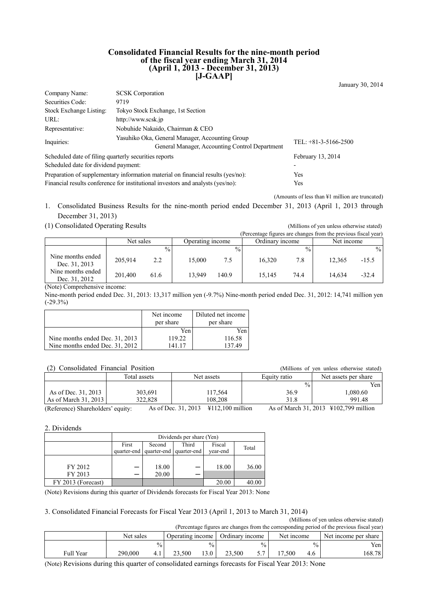### **Consolidated Financial Results for the nine-month period of the fiscal year ending March 31, 2014 (April 1, 2013 - December 31, 2013) [J-GAAP]**

January 30, 2014

| Company Name:                                                                    | <b>SCSK</b> Corporation                         |                        |
|----------------------------------------------------------------------------------|-------------------------------------------------|------------------------|
| Securities Code:                                                                 |                                                 |                        |
| Stock Exchange Listing:                                                          |                                                 |                        |
| URL:                                                                             |                                                 |                        |
| Representative:                                                                  |                                                 |                        |
| Inquiries:                                                                       | Yasuhiko Oka, General Manager, Accounting Group | TEL: $+81-3-5166-2500$ |
|                                                                                  | General Manager, Accounting Control Department  |                        |
| Scheduled date of filing quarterly securities reports                            |                                                 | February 13, 2014      |
| Scheduled date for dividend payment:                                             |                                                 |                        |
| Preparation of supplementary information material on financial results (yes/no): |                                                 | Yes                    |
| Financial results conference for institutional investors and analysts (yes/no):  | Yes                                             |                        |

(Amounts of less than ¥1 million are truncated)

1. Consolidated Business Results for the nine-month period ended December 31, 2013 (April 1, 2013 through December 31, 2013)

(1) Consolidated Operating Results (Millions of yen unless otherwise stated)

|                                    |           |               |        |                                     |        |               | (Percentage figures are changes from the previous fiscal year) |         |
|------------------------------------|-----------|---------------|--------|-------------------------------------|--------|---------------|----------------------------------------------------------------|---------|
|                                    | Net sales |               |        | Ordinary income<br>Operating income |        |               | Net income                                                     |         |
|                                    |           | $\frac{0}{0}$ |        | $\frac{0}{0}$                       |        | $\frac{0}{0}$ |                                                                | $\%$    |
| Nine months ended<br>Dec. 31, 2013 | 205.914   | 2.2           | 15,000 | 7.5                                 | 16,320 | 7.8           | 12.365                                                         | $-15.5$ |
| Nine months ended<br>Dec. 31, 2012 | 201.400   | 61.6          | 13.949 | 140.9                               | 15.145 | 74.4          | 14.634                                                         | $-32.4$ |

(Note) Comprehensive income:

Nine-month period ended Dec. 31, 2013: 13,317 million yen (-9.7%) Nine-month period ended Dec. 31, 2012: 14,741 million yen (-29.3%)

|                                 | Net income<br>per share | Diluted net income<br>per share |
|---------------------------------|-------------------------|---------------------------------|
|                                 | Yen                     | Yen                             |
| Nine months ended Dec. 31, 2013 | 119.22                  | 116.58                          |
| Nine months ended Dec. 31, 2012 | 141 17                  | 137.49                          |

### (2) Consolidated Financial Position (Millions of yen unless otherwise stated)

| .<br>$\sim$                       |              |                                                | ,,,,,,,,,,,,,,,,, | $\sqrt{2}$                            |
|-----------------------------------|--------------|------------------------------------------------|-------------------|---------------------------------------|
|                                   | Total assets | Net assets                                     | Equity ratio      | Net assets per share                  |
|                                   |              |                                                | $\frac{0}{0}$     | Yen                                   |
| As of Dec. 31, 2013               | 303.691      | 117.564                                        | 36.9              | .080.60                               |
| As of March $31, 2013$            | 322.828      | 108.208                                        | 31.8              | 991.48                                |
| (Reference) Shareholders' equity: |              | As of Dec. 31, 2013 $\text{\#112,100}$ million |                   | As of March 31, 2013 ¥102,799 million |

2. Dividends

|                    | Dividends per share (Yen) |                         |             |          |       |  |  |
|--------------------|---------------------------|-------------------------|-------------|----------|-------|--|--|
|                    | First                     | Second                  | Third       | Fiscal   | Total |  |  |
|                    |                           | quarter-end quarter-end | quarter-end | year-end |       |  |  |
|                    |                           |                         |             |          |       |  |  |
| FY 2012            |                           | 18.00                   |             | 18.00    | 36.00 |  |  |
| FY 2013            |                           | 20.00                   |             |          |       |  |  |
| FY 2013 (Forecast) |                           |                         |             | 20.00    | 40.00 |  |  |

(Note) Revisions during this quarter of Dividends forecasts for Fiscal Year 2013: None

3. Consolidated Financial Forecasts for Fiscal Year 2013 (April 1, 2013 to March 31, 2014)

|                                                                                            | (Millions of yen unless otherwise stated) |               |        |      |                                    |               |            |               |                      |
|--------------------------------------------------------------------------------------------|-------------------------------------------|---------------|--------|------|------------------------------------|---------------|------------|---------------|----------------------|
| (Percentage figures are changes from the corresponding period of the previous fiscal year) |                                           |               |        |      |                                    |               |            |               |                      |
|                                                                                            | Net sales                                 |               |        |      | Operating income   Ordinary income |               | Net income |               | Net income per share |
|                                                                                            |                                           | $\frac{0}{0}$ |        |      |                                    | $\frac{0}{0}$ |            | $\frac{0}{0}$ | Yen l                |
| Full Year                                                                                  | 290,000                                   | 4.1           | 23,500 | 13.0 | 23.500                             | 5.7           | 17.500     | 4.6           | 168.78               |

(Note) Revisions during this quarter of consolidated earnings forecasts for Fiscal Year 2013: None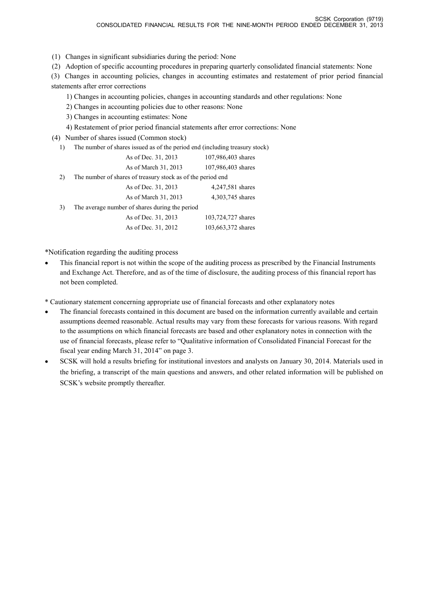(1) Changes in significant subsidiaries during the period: None

(2) Adoption of specific accounting procedures in preparing quarterly consolidated financial statements: None

(3) Changes in accounting policies, changes in accounting estimates and restatement of prior period financial statements after error corrections

1) Changes in accounting policies, changes in accounting standards and other regulations: None

2) Changes in accounting policies due to other reasons: None

3) Changes in accounting estimates: None

4) Restatement of prior period financial statements after error corrections: None

(4) Number of shares issued (Common stock)

1) The number of shares issued as of the period end (including treasury stock)

|    | As of Dec. 31, 2013                                         | 107,986,403 shares |  |  |  |  |  |
|----|-------------------------------------------------------------|--------------------|--|--|--|--|--|
|    | As of March 31, 2013                                        | 107,986,403 shares |  |  |  |  |  |
| 2) | The number of shares of treasury stock as of the period end |                    |  |  |  |  |  |
|    |                                                             |                    |  |  |  |  |  |

|    | As of Dec. 31, 2013                            | 4,247,581 shares   |
|----|------------------------------------------------|--------------------|
|    | As of March 31, 2013                           | 4,303,745 shares   |
| 3) | The average number of shares during the period |                    |
|    | As of Dec. 31, 2013                            | 103,724,727 shares |
|    | As of Dec. 31, 2012                            | 103,663,372 shares |

\*Notification regarding the auditing process

This financial report is not within the scope of the auditing process as prescribed by the Financial Instruments and Exchange Act. Therefore, and as of the time of disclosure, the auditing process of this financial report has not been completed.

\* Cautionary statement concerning appropriate use of financial forecasts and other explanatory notes

- The financial forecasts contained in this document are based on the information currently available and certain assumptions deemed reasonable. Actual results may vary from these forecasts for various reasons. With regard to the assumptions on which financial forecasts are based and other explanatory notes in connection with the use of financial forecasts, please refer to "Qualitative information of Consolidated Financial Forecast for the fiscal year ending March 31, 2014" on page 3.
- SCSK will hold a results briefing for institutional investors and analysts on January 30, 2014. Materials used in the briefing, a transcript of the main questions and answers, and other related information will be published on SCSK's website promptly thereafter.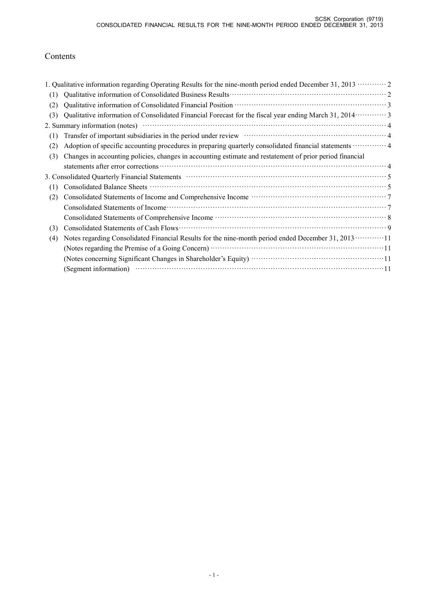# Contents

|     | 1. Qualitative information regarding Operating Results for the nine-month period ended December 31, 2013 ………… 2                                                                                                                |  |
|-----|--------------------------------------------------------------------------------------------------------------------------------------------------------------------------------------------------------------------------------|--|
| (1) |                                                                                                                                                                                                                                |  |
| (2) |                                                                                                                                                                                                                                |  |
| (3) | Qualitative information of Consolidated Financial Forecast for the fiscal year ending March 31, 2014 · · · · · · · · · · 3                                                                                                     |  |
|     |                                                                                                                                                                                                                                |  |
| (1) | Transfer of important subsidiaries in the period under review material contracts and a period of the period under review materials.                                                                                            |  |
| (2) |                                                                                                                                                                                                                                |  |
| (3) | Changes in accounting policies, changes in accounting estimate and restatement of prior period financial                                                                                                                       |  |
|     |                                                                                                                                                                                                                                |  |
|     | 3. Consolidated Quarterly Financial Statements manufactured control of the Statements of Statements of Statements and Statements of Statements and Statements of Statements and Statements of Statements and Statements and St |  |
| (1) |                                                                                                                                                                                                                                |  |
| (2) |                                                                                                                                                                                                                                |  |
|     | Consolidated Statements of Income contains a material contains a material of $7$                                                                                                                                               |  |
|     |                                                                                                                                                                                                                                |  |
| (3) | Consolidated Statements of Cash Flows                                                                                                                                                                                          |  |
| (4) | Notes regarding Consolidated Financial Results for the nine-month period ended December 31, 2013 ···········11                                                                                                                 |  |
|     | (Notes regarding the Premise of a Going Concern) manufactured and the Premise of a Going Concern) manufactured and a filter and the Premise of a Going Concern) manufactured and a filter and the Premise of a Going Concern   |  |
|     |                                                                                                                                                                                                                                |  |
|     |                                                                                                                                                                                                                                |  |
|     |                                                                                                                                                                                                                                |  |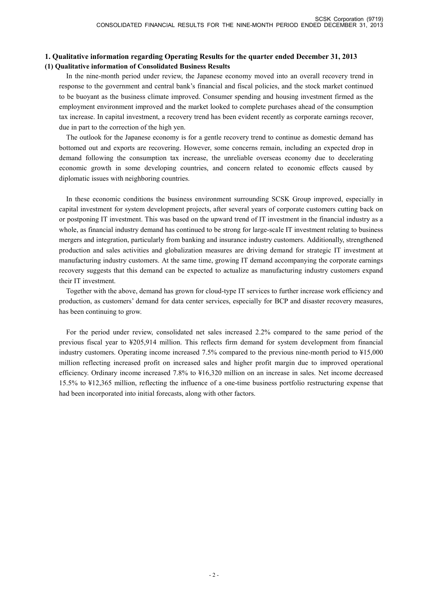# **1. Qualitative information regarding Operating Results for the quarter ended December 31, 2013 (1) Qualitative information of Consolidated Business Results**

In the nine-month period under review, the Japanese economy moved into an overall recovery trend in response to the government and central bank's financial and fiscal policies, and the stock market continued to be buoyant as the business climate improved. Consumer spending and housing investment firmed as the employment environment improved and the market looked to complete purchases ahead of the consumption tax increase. In capital investment, a recovery trend has been evident recently as corporate earnings recover, due in part to the correction of the high yen.

The outlook for the Japanese economy is for a gentle recovery trend to continue as domestic demand has bottomed out and exports are recovering. However, some concerns remain, including an expected drop in demand following the consumption tax increase, the unreliable overseas economy due to decelerating economic growth in some developing countries, and concern related to economic effects caused by diplomatic issues with neighboring countries.

In these economic conditions the business environment surrounding SCSK Group improved, especially in capital investment for system development projects, after several years of corporate customers cutting back on or postponing IT investment. This was based on the upward trend of IT investment in the financial industry as a whole, as financial industry demand has continued to be strong for large-scale IT investment relating to business mergers and integration, particularly from banking and insurance industry customers. Additionally, strengthened production and sales activities and globalization measures are driving demand for strategic IT investment at manufacturing industry customers. At the same time, growing IT demand accompanying the corporate earnings recovery suggests that this demand can be expected to actualize as manufacturing industry customers expand their IT investment.

Together with the above, demand has grown for cloud-type IT services to further increase work efficiency and production, as customers' demand for data center services, especially for BCP and disaster recovery measures, has been continuing to grow.

For the period under review, consolidated net sales increased 2.2% compared to the same period of the previous fiscal year to ¥205,914 million. This reflects firm demand for system development from financial industry customers. Operating income increased 7.5% compared to the previous nine-month period to ¥15,000 million reflecting increased profit on increased sales and higher profit margin due to improved operational efficiency. Ordinary income increased 7.8% to ¥16,320 million on an increase in sales. Net income decreased 15.5% to ¥12,365 million, reflecting the influence of a one-time business portfolio restructuring expense that had been incorporated into initial forecasts, along with other factors.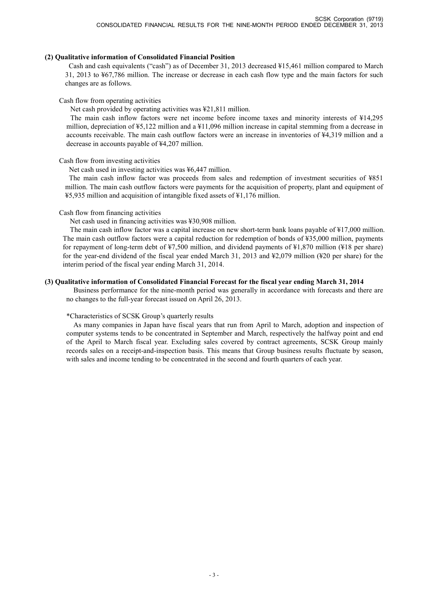### **(2) Qualitative information of Consolidated Financial Position**

Cash and cash equivalents ("cash") as of December 31, 2013 decreased ¥15,461 million compared to March 31, 2013 to ¥67,786 million. The increase or decrease in each cash flow type and the main factors for such changes are as follows.

## Cash flow from operating activities

Net cash provided by operating activities was ¥21,811 million.

The main cash inflow factors were net income before income taxes and minority interests of ¥14,295 million, depreciation of ¥5,122 million and a ¥11,096 million increase in capital stemming from a decrease in accounts receivable. The main cash outflow factors were an increase in inventories of ¥4,319 million and a decrease in accounts payable of ¥4,207 million.

## Cash flow from investing activities

Net cash used in investing activities was ¥6,447 million.

The main cash inflow factor was proceeds from sales and redemption of investment securities of ¥851 million. The main cash outflow factors were payments for the acquisition of property, plant and equipment of ¥5,935 million and acquisition of intangible fixed assets of ¥1,176 million.

## Cash flow from financing activities

Net cash used in financing activities was ¥30,908 million.

The main cash inflow factor was a capital increase on new short-term bank loans payable of ¥17,000 million. The main cash outflow factors were a capital reduction for redemption of bonds of ¥35,000 million, payments for repayment of long-term debt of ¥7,500 million, and dividend payments of ¥1,870 million (¥18 per share) for the year-end dividend of the fiscal year ended March 31, 2013 and ¥2,079 million (¥20 per share) for the interim period of the fiscal year ending March 31, 2014.

## **(3) Qualitative information of Consolidated Financial Forecast for the fiscal year ending March 31, 2014**

Business performance for the nine-month period was generally in accordance with forecasts and there are no changes to the full-year forecast issued on April 26, 2013.

### \*Characteristics of SCSK Group's quarterly results

As many companies in Japan have fiscal years that run from April to March, adoption and inspection of computer systems tends to be concentrated in September and March, respectively the halfway point and end of the April to March fiscal year. Excluding sales covered by contract agreements, SCSK Group mainly records sales on a receipt-and-inspection basis. This means that Group business results fluctuate by season, with sales and income tending to be concentrated in the second and fourth quarters of each year.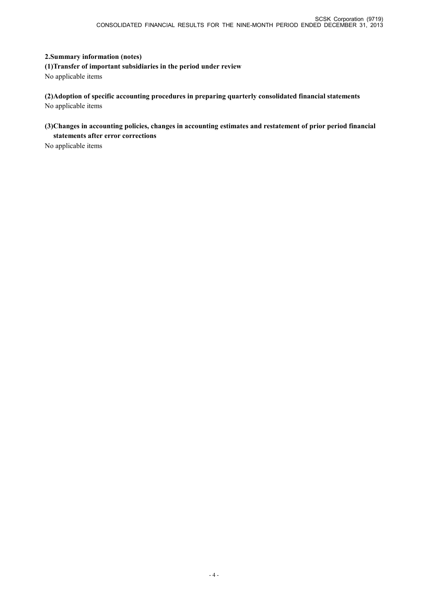## **2.Summary information (notes)**

**(1)Transfer of important subsidiaries in the period under review** No applicable items

**(2)Adoption of specific accounting procedures in preparing quarterly consolidated financial statements** No applicable items

# **(3)Changes in accounting policies, changes in accounting estimates and restatement of prior period financial statements after error corrections**

No applicable items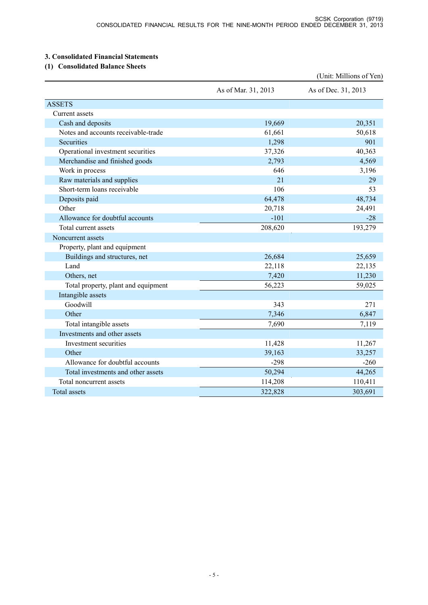# **3. Consolidated Financial Statements**

# **(1) Consolidated Balance Sheets**

|                                     |                     | (Unit: Millions of Yen) |
|-------------------------------------|---------------------|-------------------------|
|                                     | As of Mar. 31, 2013 | As of Dec. 31, 2013     |
| <b>ASSETS</b>                       |                     |                         |
| Current assets                      |                     |                         |
| Cash and deposits                   | 19,669              | 20,351                  |
| Notes and accounts receivable-trade | 61,661              | 50,618                  |
| Securities                          | 1,298               | 901                     |
| Operational investment securities   | 37,326              | 40,363                  |
| Merchandise and finished goods      | 2,793               | 4,569                   |
| Work in process                     | 646                 | 3,196                   |
| Raw materials and supplies          | 21                  | 29                      |
| Short-term loans receivable         | 106                 | 53                      |
| Deposits paid                       | 64,478              | 48,734                  |
| Other                               | 20,718              | 24,491                  |
| Allowance for doubtful accounts     | $-101$              | $-28$                   |
| Total current assets                | 208,620             | 193,279                 |
| Noncurrent assets                   |                     |                         |
| Property, plant and equipment       |                     |                         |
| Buildings and structures, net       | 26,684              | 25,659                  |
| Land                                | 22,118              | 22,135                  |
| Others, net                         | 7,420               | 11,230                  |
| Total property, plant and equipment | 56,223              | 59,025                  |
| Intangible assets                   |                     |                         |
| Goodwill                            | 343                 | 271                     |
| Other                               | 7,346               | 6,847                   |
| Total intangible assets             | 7,690               | 7,119                   |
| Investments and other assets        |                     |                         |
| Investment securities               | 11,428              | 11,267                  |
| Other                               | 39,163              | 33,257                  |
| Allowance for doubtful accounts     | $-298$              | $-260$                  |
| Total investments and other assets  | 50,294              | 44,265                  |
| Total noncurrent assets             | 114,208             | 110,411                 |
| Total assets                        | 322,828             | 303,691                 |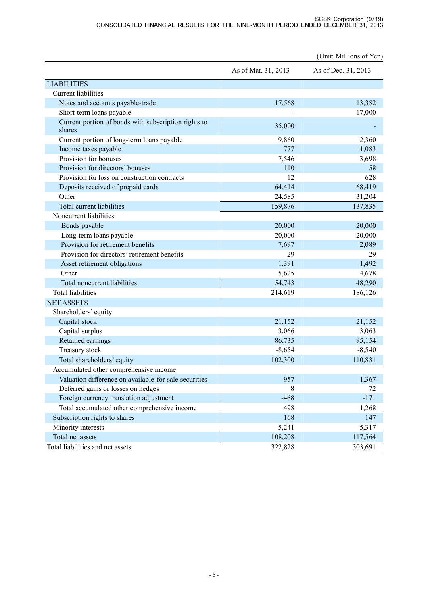|                                                                |                     | (Unit: Millions of Yen) |
|----------------------------------------------------------------|---------------------|-------------------------|
|                                                                | As of Mar. 31, 2013 | As of Dec. 31, 2013     |
| <b>LIABILITIES</b>                                             |                     |                         |
| <b>Current liabilities</b>                                     |                     |                         |
| Notes and accounts payable-trade                               | 17,568              | 13,382                  |
| Short-term loans payable                                       |                     | 17,000                  |
| Current portion of bonds with subscription rights to<br>shares | 35,000              |                         |
| Current portion of long-term loans payable                     | 9,860               | 2,360                   |
| Income taxes payable                                           | 777                 | 1,083                   |
| Provision for bonuses                                          | 7,546               | 3,698                   |
| Provision for directors' bonuses                               | 110                 | 58                      |
| Provision for loss on construction contracts                   | 12                  | 628                     |
| Deposits received of prepaid cards                             | 64,414              | 68,419                  |
| Other                                                          | 24,585              | 31,204                  |
| <b>Total current liabilities</b>                               | 159,876             | 137,835                 |
| Noncurrent liabilities                                         |                     |                         |
| Bonds payable                                                  | 20,000              | 20,000                  |
| Long-term loans payable                                        | 20,000              | 20,000                  |
| Provision for retirement benefits                              | 7,697               | 2,089                   |
| Provision for directors' retirement benefits                   | 29                  | 29                      |
| Asset retirement obligations                                   | 1,391               | 1,492                   |
| Other                                                          | 5,625               | 4,678                   |
| Total noncurrent liabilities                                   | 54,743              | 48,290                  |
| <b>Total liabilities</b>                                       | 214,619             | 186,126                 |
| <b>NET ASSETS</b>                                              |                     |                         |
| Shareholders' equity                                           |                     |                         |
| Capital stock                                                  | 21,152              | 21,152                  |
| Capital surplus                                                | 3,066               | 3,063                   |
| Retained earnings                                              | 86,735              | 95,154                  |
| Treasury stock                                                 | $-8,654$            | $-8,540$                |
| Total shareholders' equity                                     | 102,300             | 110,831                 |
| Accumulated other comprehensive income                         |                     |                         |
| Valuation difference on available-for-sale securities          | 957                 | 1,367                   |
| Deferred gains or losses on hedges                             | 8                   | 72                      |
| Foreign currency translation adjustment                        | $-468$              | $-171$                  |
| Total accumulated other comprehensive income                   | 498                 | 1,268                   |
| Subscription rights to shares                                  | 168                 | 147                     |
| Minority interests                                             | 5,241               | 5,317                   |
| Total net assets                                               | 108,208             | 117,564                 |
| Total liabilities and net assets                               | 322,828             | 303,691                 |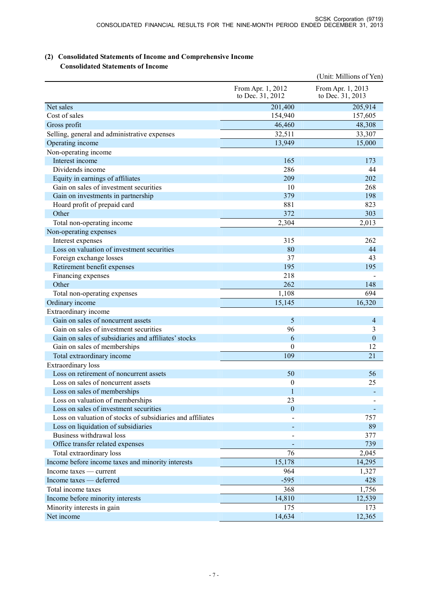| (2) Consolidated Statements of Income and Comprehensive Income |  |
|----------------------------------------------------------------|--|
| <b>Consolidated Statements of Income</b>                       |  |

|                                                            |                                       | (Unit: Millions of Yen)               |
|------------------------------------------------------------|---------------------------------------|---------------------------------------|
|                                                            | From Apr. 1, 2012<br>to Dec. 31, 2012 | From Apr. 1, 2013<br>to Dec. 31, 2013 |
| Net sales                                                  | 201,400                               | 205,914                               |
| Cost of sales                                              | 154,940                               | 157,605                               |
| Gross profit                                               | 46,460                                | 48,308                                |
| Selling, general and administrative expenses               | 32,511                                | 33,307                                |
| Operating income                                           | 13,949                                | 15,000                                |
| Non-operating income                                       |                                       |                                       |
| Interest income                                            | 165                                   | 173                                   |
| Dividends income                                           | 286                                   | 44                                    |
| Equity in earnings of affiliates                           | 209                                   | 202                                   |
| Gain on sales of investment securities                     | 10                                    | 268                                   |
| Gain on investments in partnership                         | 379                                   | 198                                   |
| Hoard profit of prepaid card                               | 881                                   | 823                                   |
| Other                                                      | 372                                   | 303                                   |
| Total non-operating income                                 | 2,304                                 | 2,013                                 |
| Non-operating expenses                                     |                                       |                                       |
| Interest expenses                                          | 315                                   | 262                                   |
| Loss on valuation of investment securities                 | 80                                    | 44                                    |
| Foreign exchange losses                                    | 37                                    | 43                                    |
| Retirement benefit expenses                                | 195                                   | 195                                   |
| Financing expenses                                         | 218                                   |                                       |
| Other                                                      | 262                                   | 148                                   |
| Total non-operating expenses                               | 1,108                                 | 694                                   |
| Ordinary income                                            | 15,145                                | 16,320                                |
| Extraordinary income                                       |                                       |                                       |
| Gain on sales of noncurrent assets                         | 5                                     | $\overline{4}$                        |
| Gain on sales of investment securities                     | 96                                    | 3                                     |
| Gain on sales of subsidiaries and affiliates' stocks       | 6                                     | $\mathbf{0}$                          |
| Gain on sales of memberships                               | $\mathbf{0}$                          | 12                                    |
| Total extraordinary income                                 | 109                                   | 21                                    |
| <b>Extraordinary</b> loss                                  |                                       |                                       |
| Loss on retirement of noncurrent assets                    | 50                                    | 56                                    |
| Loss on sales of noncurrent assets                         | $\boldsymbol{0}$                      | 25                                    |
| Loss on sales of memberships                               | $\mathbf{1}$                          |                                       |
| Loss on valuation of memberships                           | 23                                    |                                       |
| Loss on sales of investment securities                     | $\boldsymbol{0}$                      |                                       |
| Loss on valuation of stocks of subsidiaries and affiliates |                                       | 757                                   |
| Loss on liquidation of subsidiaries                        |                                       | 89                                    |
| Business withdrawal loss                                   |                                       | 377                                   |
| Office transfer related expenses                           |                                       | 739                                   |
| Total extraordinary loss                                   | 76                                    | 2,045                                 |
| Income before income taxes and minority interests          | 15,178                                | 14,295                                |
| Income taxes — current                                     | 964                                   | 1,327                                 |
| Income taxes - deferred                                    | $-595$                                | 428                                   |
| Total income taxes                                         | 368                                   | 1,756                                 |
| Income before minority interests                           | 14,810                                | 12,539                                |
| Minority interests in gain                                 | 175                                   | 173                                   |
| Net income                                                 | 14,634                                | 12,365                                |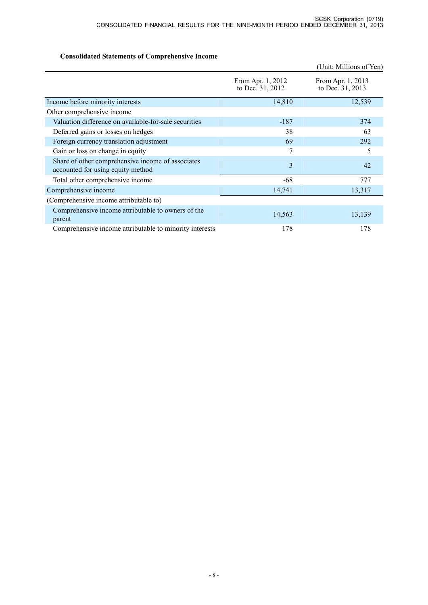# **Consolidated Statements of Comprehensive Income**

|                                                                                        |                                       | (Unit: Millions of Yen)               |
|----------------------------------------------------------------------------------------|---------------------------------------|---------------------------------------|
|                                                                                        | From Apr. 1, 2012<br>to Dec. 31, 2012 | From Apr. 1, 2013<br>to Dec. 31, 2013 |
| Income before minority interests                                                       | 14,810                                | 12,539                                |
| Other comprehensive income                                                             |                                       |                                       |
| Valuation difference on available-for-sale securities                                  | $-187$                                | 374                                   |
| Deferred gains or losses on hedges                                                     | 38                                    | 63                                    |
| Foreign currency translation adjustment                                                | 69                                    | 292                                   |
| Gain or loss on change in equity                                                       | 7                                     | 5                                     |
| Share of other comprehensive income of associates<br>accounted for using equity method | 3                                     | 42                                    |
| Total other comprehensive income                                                       | -68                                   | 777                                   |
| Comprehensive income                                                                   | 14,741                                | 13,317                                |
| (Comprehensive income attributable to)                                                 |                                       |                                       |
| Comprehensive income attributable to owners of the<br>parent                           | 14,563                                | 13,139                                |
| Comprehensive income attributable to minority interests                                | 178                                   | 178                                   |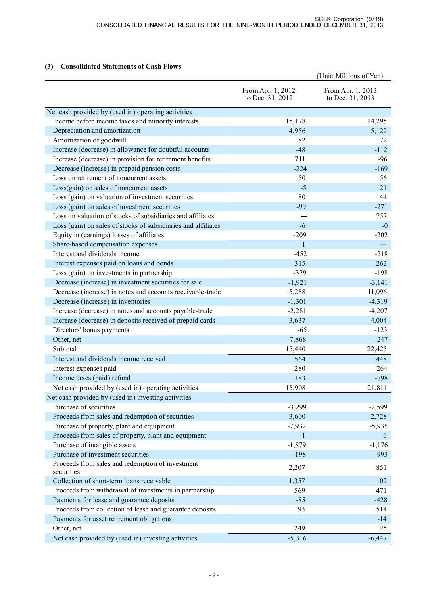# **(3) Consolidated Statements of Cash Flows**

|                                                                |                                       | (Unit: Millions of Yen)               |
|----------------------------------------------------------------|---------------------------------------|---------------------------------------|
|                                                                | From Apr. 1, 2012<br>to Dec. 31, 2012 | From Apr. 1, 2013<br>to Dec. 31, 2013 |
| Net cash provided by (used in) operating activities            |                                       |                                       |
| Income before income taxes and minority interests              | 15,178                                | 14,295                                |
| Depreciation and amortization                                  | 4,956                                 | 5,122                                 |
| Amortization of goodwill                                       | 82                                    | 72                                    |
| Increase (decrease) in allowance for doubtful accounts         | $-48$                                 | $-112$                                |
| Increase (decrease) in provision for retirement benefits       | 711                                   | $-96$                                 |
| Decrease (increase) in prepaid pension costs                   | $-224$                                | $-169$                                |
| Loss on retirement of noncurrent assets                        | 50                                    | 56                                    |
| Loss(gain) on sales of noncurrent assets                       | $-5$                                  | 21                                    |
| Loss (gain) on valuation of investment securities              | 80                                    | 44                                    |
| Loss (gain) on sales of investment securities                  | $-99$                                 | $-271$                                |
| Loss on valuation of stocks of subsidiaries and affiliates     |                                       | 757                                   |
| Loss (gain) on sales of stocks of subsidiaries and affiliates  | $-6$                                  | $-0$                                  |
| Equity in (earnings) losses of affiliates                      | $-209$                                | $-202$                                |
| Share-based compensation expenses                              | 1                                     |                                       |
| Interest and dividends income                                  | $-452$                                | $-218$                                |
| Interest expenses paid on loans and bonds                      | 315                                   | 262                                   |
| Loss (gain) on investments in partnership                      | $-379$                                | $-198$                                |
| Decrease (increase) in investment securities for sale          | $-1,921$                              | $-3,141$                              |
| Decrease (increase) in notes and accounts receivable-trade     | 5,288                                 | 11,096                                |
| Decrease (increase) in inventories                             | $-1,301$                              | $-4,319$                              |
| Increase (decrease) in notes and accounts payable-trade        | $-2,281$                              | $-4,207$                              |
| Increase (decrease) in deposits received of prepaid cards      | 3,637                                 | 4,004                                 |
| Directors' bonus payments                                      | $-65$                                 | $-123$                                |
| Other, net                                                     | $-7,868$                              | $-247$                                |
| Subtotal                                                       | 15,440                                | 22,425                                |
| Interest and dividends income received                         | 564                                   | 448                                   |
| Interest expenses paid                                         | $-280$                                | $-264$                                |
| Income taxes (paid) refund                                     | 183                                   | $-798$                                |
| Net cash provided by (used in) operating activities            | 15,908                                | 21,811                                |
| Net cash provided by (used in) investing activities            |                                       |                                       |
| Purchase of securities                                         | $-3,299$                              | $-2,599$                              |
| Proceeds from sales and redemption of securities               | 3,600                                 | 2,728                                 |
| Purchase of property, plant and equipment                      | $-7,932$                              | $-5,935$                              |
| Proceeds from sales of property, plant and equipment           | 1                                     | 6                                     |
| Purchase of intangible assets                                  | $-1,879$                              | $-1,176$                              |
| Purchase of investment securities                              | $-198$                                | $-993$                                |
| Proceeds from sales and redemption of investment<br>securities | 2,207                                 | 851                                   |
| Collection of short-term loans receivable                      | 1,357                                 | 102                                   |
| Proceeds from withdrawal of investments in partnership         | 569                                   | 471                                   |
| Payments for lease and guarantee deposits                      | $-85$                                 | $-428$                                |
| Proceeds from collection of lease and guarantee deposits       | 93                                    | 514                                   |
| Payments for asset retirement obligations                      |                                       | $-14$                                 |
| Other, net                                                     | 249                                   | 25                                    |
| Net cash provided by (used in) investing activities            | $-5,316$                              | $-6,447$                              |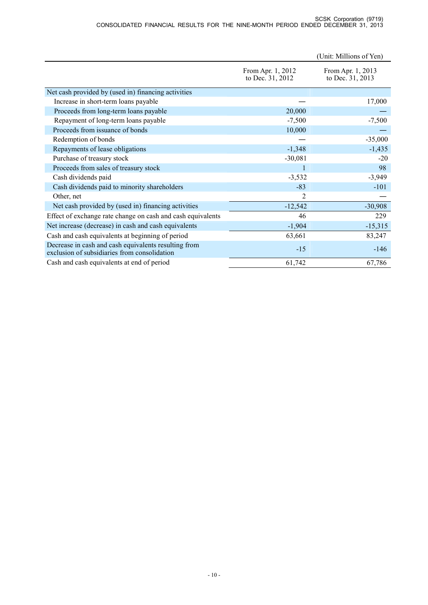#### SCSK Corporation (9719) CONSOLIDATED FINANCIAL RESULTS FOR THE NINE-MONTH PERIOD ENDED DECEMBER 31, 2013

|                                                                                                      |                                       | (Unit: Millions of Yen)               |
|------------------------------------------------------------------------------------------------------|---------------------------------------|---------------------------------------|
|                                                                                                      | From Apr. 1, 2012<br>to Dec. 31, 2012 | From Apr. 1, 2013<br>to Dec. 31, 2013 |
| Net cash provided by (used in) financing activities                                                  |                                       |                                       |
| Increase in short-term loans payable                                                                 |                                       | 17,000                                |
| Proceeds from long-term loans payable                                                                | 20,000                                |                                       |
| Repayment of long-term loans payable                                                                 | $-7,500$                              | $-7,500$                              |
| Proceeds from issuance of bonds                                                                      | 10,000                                |                                       |
| Redemption of bonds                                                                                  |                                       | $-35,000$                             |
| Repayments of lease obligations                                                                      | $-1,348$                              | $-1,435$                              |
| Purchase of treasury stock                                                                           | $-30,081$                             | $-20$                                 |
| Proceeds from sales of treasury stock                                                                |                                       | 98                                    |
| Cash dividends paid                                                                                  | $-3,532$                              | $-3,949$                              |
| Cash dividends paid to minority shareholders                                                         | $-83$                                 | $-101$                                |
| Other, net                                                                                           | 2                                     |                                       |
| Net cash provided by (used in) financing activities                                                  | $-12,542$                             | $-30,908$                             |
| Effect of exchange rate change on cash and cash equivalents                                          | 46                                    | 229                                   |
| Net increase (decrease) in cash and cash equivalents                                                 | $-1,904$                              | $-15,315$                             |
| Cash and cash equivalents at beginning of period                                                     | 63,661                                | 83,247                                |
| Decrease in cash and cash equivalents resulting from<br>exclusion of subsidiaries from consolidation | $-15$                                 | $-146$                                |
| Cash and cash equivalents at end of period                                                           | 61,742                                | 67,786                                |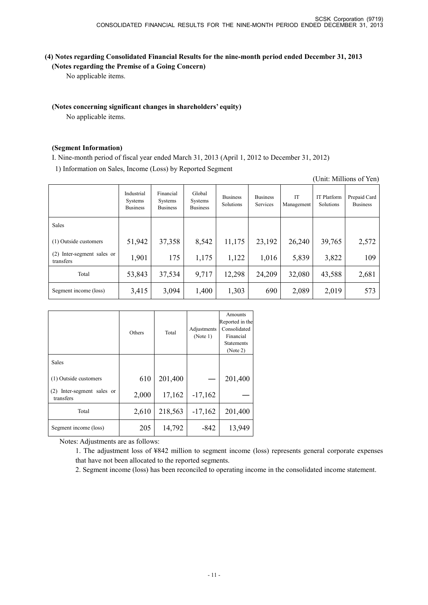# **(4) Notes regarding Consolidated Financial Results for the nine-month period ended December 31, 2013 (Notes regarding the Premise of a Going Concern)**

No applicable items.

## **(Notes concerning significant changes in shareholders' equity)**

No applicable items.

### **(Segment Information)**

I. Nine-month period of fiscal year ended March 31, 2013 (April 1, 2012 to December 31, 2012)

1) Information on Sales, Income (Loss) by Reported Segment

(Unit: Millions of Yen)

|                                            | Industrial<br>Systems<br><b>Business</b> | Financial<br>Systems<br><b>Business</b> | Global<br><b>Systems</b><br><b>Business</b> | <b>Business</b><br>Solutions | <b>Business</b><br>Services | IT<br>Management | <b>IT Platform</b><br>Solutions | Prepaid Card<br><b>Business</b> |
|--------------------------------------------|------------------------------------------|-----------------------------------------|---------------------------------------------|------------------------------|-----------------------------|------------------|---------------------------------|---------------------------------|
| <b>Sales</b>                               |                                          |                                         |                                             |                              |                             |                  |                                 |                                 |
| (1) Outside customers                      | 51,942                                   | 37,358                                  | 8,542                                       | 11,175                       | 23,192                      | 26,240           | 39,765                          | 2,572                           |
| Inter-segment sales or<br>(2)<br>transfers | 1,901                                    | 175                                     | 1,175                                       | 1,122                        | 1,016                       | 5,839            | 3,822                           | 109                             |
| Total                                      | 53,843                                   | 37,534                                  | 9,717                                       | 12,298                       | 24,209                      | 32,080           | 43,588                          | 2,681                           |
| Segment income (loss)                      | 3,415                                    | 3,094                                   | 1,400                                       | 1,303                        | 690                         | 2,089            | 2,019                           | 573                             |

|                                            | Others | Total   | Adjustments<br>(Note 1) | Amounts<br>Reported in the<br>Consolidated<br>Financial<br><b>Statements</b><br>(Note 2) |
|--------------------------------------------|--------|---------|-------------------------|------------------------------------------------------------------------------------------|
| Sales                                      |        |         |                         |                                                                                          |
| (1) Outside customers                      | 610    | 201,400 |                         | 201,400                                                                                  |
| Inter-segment sales or<br>(2)<br>transfers | 2,000  | 17,162  | $-17,162$               |                                                                                          |
| Total                                      | 2,610  | 218,563 | $-17,162$               | 201,400                                                                                  |
| Segment income (loss)                      | 205    | 14,792  | $-842$                  | 13,949                                                                                   |

Notes: Adjustments are as follows:

1. The adjustment loss of ¥842 million to segment income (loss) represents general corporate expenses that have not been allocated to the reported segments.

2. Segment income (loss) has been reconciled to operating income in the consolidated income statement.